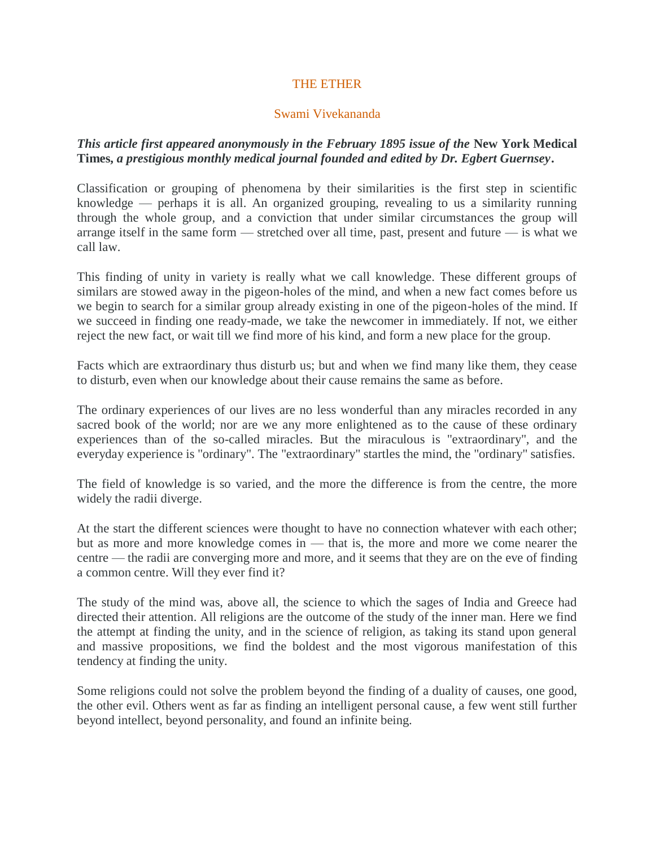## THE ETHER

## Swami Vivekananda

## *This article first appeared anonymously in the February 1895 issue of the* **New York Medical Times,** *a prestigious monthly medical journal founded and edited by Dr. Egbert Guernsey***.**

Classification or grouping of phenomena by their similarities is the first step in scientific knowledge — perhaps it is all. An organized grouping, revealing to us a similarity running through the whole group, and a conviction that under similar circumstances the group will arrange itself in the same form — stretched over all time, past, present and future — is what we call law.

This finding of unity in variety is really what we call knowledge. These different groups of similars are stowed away in the pigeon-holes of the mind, and when a new fact comes before us we begin to search for a similar group already existing in one of the pigeon-holes of the mind. If we succeed in finding one ready-made, we take the newcomer in immediately. If not, we either reject the new fact, or wait till we find more of his kind, and form a new place for the group.

Facts which are extraordinary thus disturb us; but and when we find many like them, they cease to disturb, even when our knowledge about their cause remains the same as before.

The ordinary experiences of our lives are no less wonderful than any miracles recorded in any sacred book of the world; nor are we any more enlightened as to the cause of these ordinary experiences than of the so-called miracles. But the miraculous is "extraordinary", and the everyday experience is "ordinary". The "extraordinary" startles the mind, the "ordinary" satisfies.

The field of knowledge is so varied, and the more the difference is from the centre, the more widely the radii diverge.

At the start the different sciences were thought to have no connection whatever with each other; but as more and more knowledge comes in — that is, the more and more we come nearer the centre — the radii are converging more and more, and it seems that they are on the eve of finding a common centre. Will they ever find it?

The study of the mind was, above all, the science to which the sages of India and Greece had directed their attention. All religions are the outcome of the study of the inner man. Here we find the attempt at finding the unity, and in the science of religion, as taking its stand upon general and massive propositions, we find the boldest and the most vigorous manifestation of this tendency at finding the unity.

Some religions could not solve the problem beyond the finding of a duality of causes, one good, the other evil. Others went as far as finding an intelligent personal cause, a few went still further beyond intellect, beyond personality, and found an infinite being.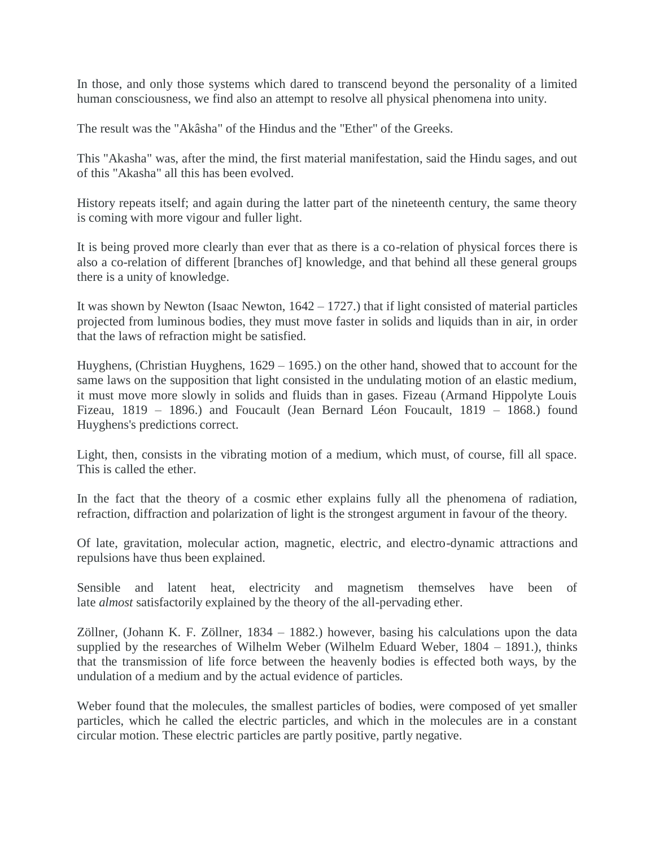In those, and only those systems which dared to transcend beyond the personality of a limited human consciousness, we find also an attempt to resolve all physical phenomena into unity.

The result was the "Akâsha" of the Hindus and the "Ether" of the Greeks.

This "Akasha" was, after the mind, the first material manifestation, said the Hindu sages, and out of this "Akasha" all this has been evolved.

History repeats itself; and again during the latter part of the nineteenth century, the same theory is coming with more vigour and fuller light.

It is being proved more clearly than ever that as there is a co-relation of physical forces there is also a co-relation of different [branches of] knowledge, and that behind all these general groups there is a unity of knowledge.

It was shown by Newton (Isaac Newton,  $1642 - 1727$ .) that if light consisted of material particles projected from luminous bodies, they must move faster in solids and liquids than in air, in order that the laws of refraction might be satisfied.

Huyghens, (Christian Huyghens, 1629 – 1695.) on the other hand, showed that to account for the same laws on the supposition that light consisted in the undulating motion of an elastic medium, it must move more slowly in solids and fluids than in gases. Fizeau (Armand Hippolyte Louis Fizeau, 1819 – 1896.) and Foucault (Jean Bernard Léon Foucault, 1819 – 1868.) found Huyghens's predictions correct.

Light, then, consists in the vibrating motion of a medium, which must, of course, fill all space. This is called the ether.

In the fact that the theory of a cosmic ether explains fully all the phenomena of radiation, refraction, diffraction and polarization of light is the strongest argument in favour of the theory.

Of late, gravitation, molecular action, magnetic, electric, and electro-dynamic attractions and repulsions have thus been explained.

Sensible and latent heat, electricity and magnetism themselves have been of late *almost* satisfactorily explained by the theory of the all-pervading ether.

Zöllner, (Johann K. F. Zöllner, 1834 – 1882.) however, basing his calculations upon the data supplied by the researches of Wilhelm Weber (Wilhelm Eduard Weber, 1804 – 1891.), thinks that the transmission of life force between the heavenly bodies is effected both ways, by the undulation of a medium and by the actual evidence of particles.

Weber found that the molecules, the smallest particles of bodies, were composed of yet smaller particles, which he called the electric particles, and which in the molecules are in a constant circular motion. These electric particles are partly positive, partly negative.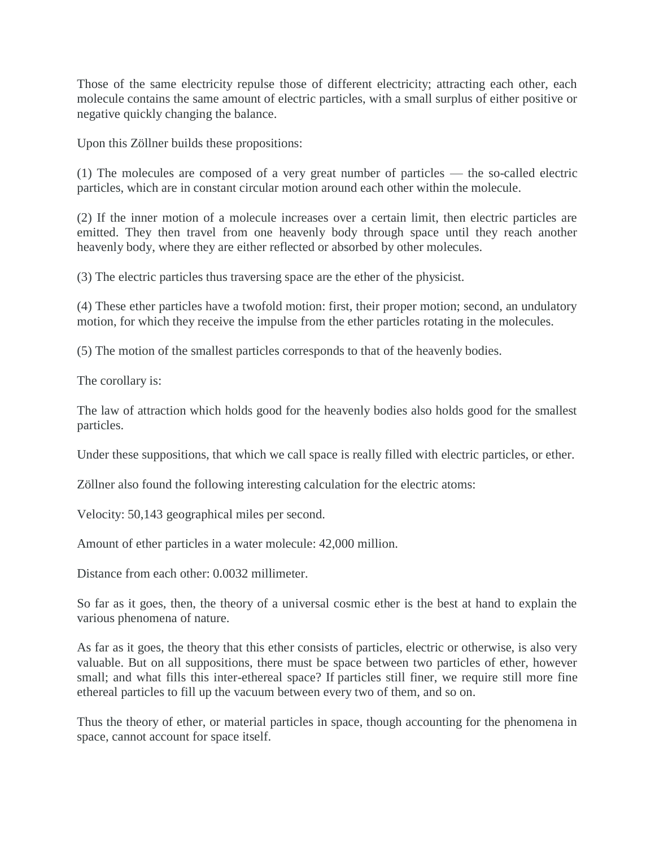Those of the same electricity repulse those of different electricity; attracting each other, each molecule contains the same amount of electric particles, with a small surplus of either positive or negative quickly changing the balance.

Upon this Zöllner builds these propositions:

(1) The molecules are composed of a very great number of particles — the so-called electric particles, which are in constant circular motion around each other within the molecule.

(2) If the inner motion of a molecule increases over a certain limit, then electric particles are emitted. They then travel from one heavenly body through space until they reach another heavenly body, where they are either reflected or absorbed by other molecules.

(3) The electric particles thus traversing space are the ether of the physicist.

(4) These ether particles have a twofold motion: first, their proper motion; second, an undulatory motion, for which they receive the impulse from the ether particles rotating in the molecules.

(5) The motion of the smallest particles corresponds to that of the heavenly bodies.

The corollary is:

The law of attraction which holds good for the heavenly bodies also holds good for the smallest particles.

Under these suppositions, that which we call space is really filled with electric particles, or ether.

Zöllner also found the following interesting calculation for the electric atoms:

Velocity: 50,143 geographical miles per second.

Amount of ether particles in a water molecule: 42,000 million.

Distance from each other: 0.0032 millimeter.

So far as it goes, then, the theory of a universal cosmic ether is the best at hand to explain the various phenomena of nature.

As far as it goes, the theory that this ether consists of particles, electric or otherwise, is also very valuable. But on all suppositions, there must be space between two particles of ether, however small; and what fills this inter-ethereal space? If particles still finer, we require still more fine ethereal particles to fill up the vacuum between every two of them, and so on.

Thus the theory of ether, or material particles in space, though accounting for the phenomena in space, cannot account for space itself.